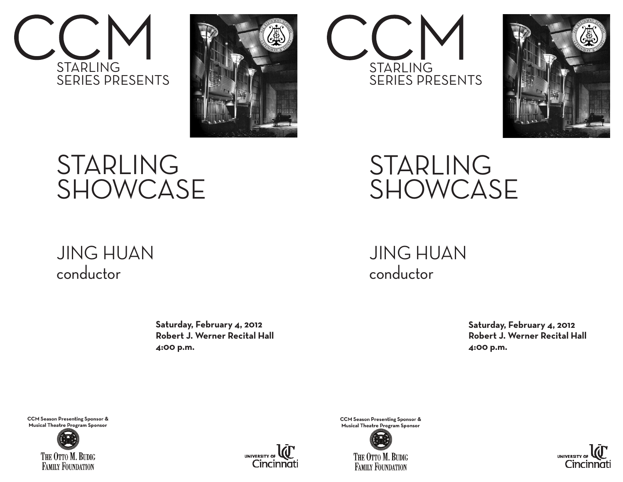



## STARLING SHOWCASE

## JING HUAN conductor

Saturday, February 4, 2012  **Robert J. Werner Recital Hall 4:00 p.m.**

**CCM Season Presenting Sponsor & Musical Theatre Program Sponsor**